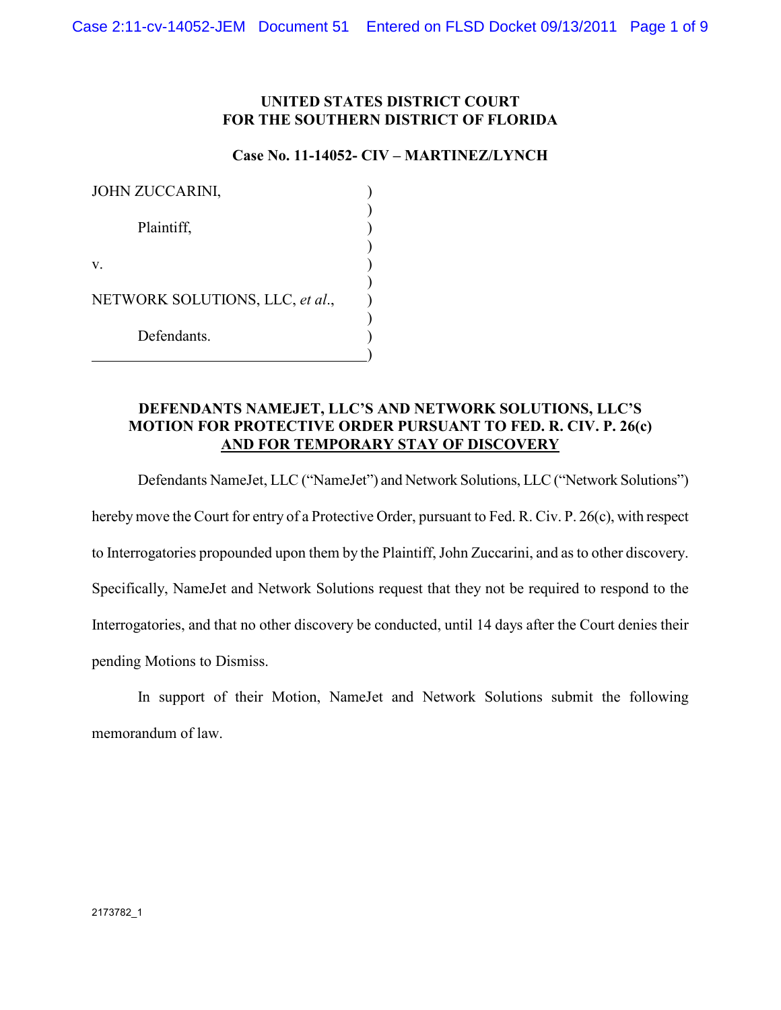## **UNITED STATES DISTRICT COURT FOR THE SOUTHERN DISTRICT OF FLORIDA**

### **Case No. 11-14052- CIV – MARTINEZ/LYNCH**

| JOHN ZUCCARINI,                 |  |
|---------------------------------|--|
| Plaintiff,                      |  |
| V.                              |  |
| NETWORK SOLUTIONS, LLC, et al., |  |
| Defendants.                     |  |

# **DEFENDANTS NAMEJET, LLC'S AND NETWORK SOLUTIONS, LLC'S MOTION FOR PROTECTIVE ORDER PURSUANT TO FED. R. CIV. P. 26(c) AND FOR TEMPORARY STAY OF DISCOVERY**

Defendants NameJet, LLC ("NameJet") and Network Solutions, LLC ("Network Solutions") hereby move the Court for entry of a Protective Order, pursuant to Fed. R. Civ. P. 26(c), with respect to Interrogatories propounded upon them by the Plaintiff, John Zuccarini, and as to other discovery. Specifically, NameJet and Network Solutions request that they not be required to respond to the Interrogatories, and that no other discovery be conducted, until 14 days after the Court denies their pending Motions to Dismiss.

 In support of their Motion, NameJet and Network Solutions submit the following memorandum of law.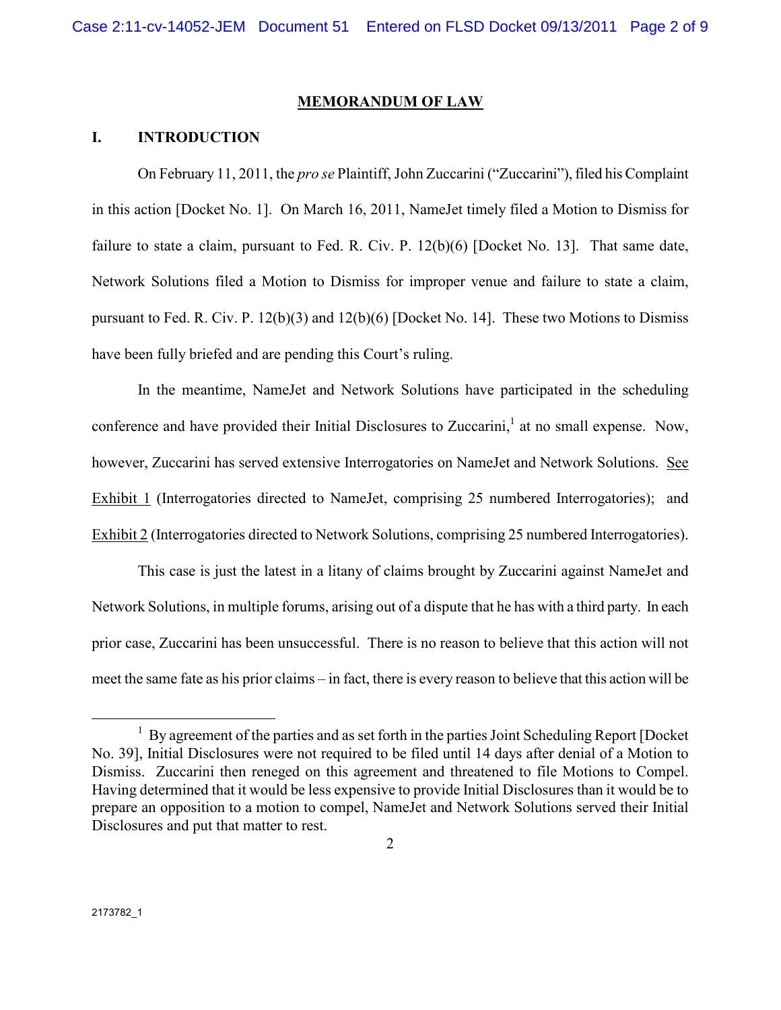#### **MEMORANDUM OF LAW**

### **I. INTRODUCTION**

On February 11, 2011, the *pro se* Plaintiff, John Zuccarini ("Zuccarini"), filed his Complaint in this action [Docket No. 1]. On March 16, 2011, NameJet timely filed a Motion to Dismiss for failure to state a claim, pursuant to Fed. R. Civ. P. 12(b)(6) [Docket No. 13]. That same date, Network Solutions filed a Motion to Dismiss for improper venue and failure to state a claim, pursuant to Fed. R. Civ. P. 12(b)(3) and 12(b)(6) [Docket No. 14]. These two Motions to Dismiss have been fully briefed and are pending this Court's ruling.

 In the meantime, NameJet and Network Solutions have participated in the scheduling conference and have provided their Initial Disclosures to Zuccarini,<sup>1</sup> at no small expense. Now, however, Zuccarini has served extensive Interrogatories on NameJet and Network Solutions. See Exhibit 1 (Interrogatories directed to NameJet, comprising 25 numbered Interrogatories); and Exhibit 2 (Interrogatories directed to Network Solutions, comprising 25 numbered Interrogatories).

 This case is just the latest in a litany of claims brought by Zuccarini against NameJet and Network Solutions, in multiple forums, arising out of a dispute that he has with a third party. In each prior case, Zuccarini has been unsuccessful. There is no reason to believe that this action will not meet the same fate as his prior claims – in fact, there is every reason to believe that this action will be

l

<sup>&</sup>lt;sup>1</sup> By agreement of the parties and as set forth in the parties Joint Scheduling Report [Docket No. 39], Initial Disclosures were not required to be filed until 14 days after denial of a Motion to Dismiss. Zuccarini then reneged on this agreement and threatened to file Motions to Compel. Having determined that it would be less expensive to provide Initial Disclosures than it would be to prepare an opposition to a motion to compel, NameJet and Network Solutions served their Initial Disclosures and put that matter to rest.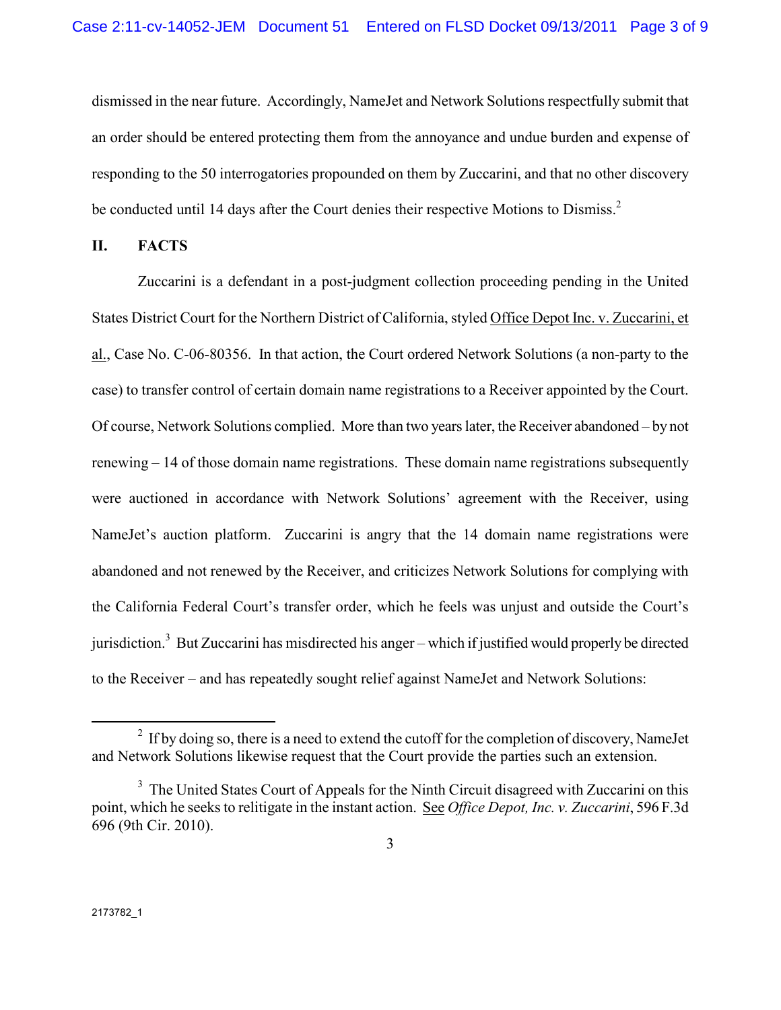dismissed in the near future. Accordingly, NameJet and Network Solutions respectfully submit that an order should be entered protecting them from the annoyance and undue burden and expense of responding to the 50 interrogatories propounded on them by Zuccarini, and that no other discovery be conducted until 14 days after the Court denies their respective Motions to Dismiss.<sup>2</sup>

### **II. FACTS**

Zuccarini is a defendant in a post-judgment collection proceeding pending in the United States District Court for the Northern District of California, styled Office Depot Inc. v. Zuccarini, et al., Case No. C-06-80356. In that action, the Court ordered Network Solutions (a non-party to the case) to transfer control of certain domain name registrations to a Receiver appointed by the Court. Of course, Network Solutions complied. More than two years later, the Receiver abandoned – by not renewing – 14 of those domain name registrations. These domain name registrations subsequently were auctioned in accordance with Network Solutions' agreement with the Receiver, using NameJet's auction platform. Zuccarini is angry that the 14 domain name registrations were abandoned and not renewed by the Receiver, and criticizes Network Solutions for complying with the California Federal Court's transfer order, which he feels was unjust and outside the Court's jurisdiction.<sup>3</sup> But Zuccarini has misdirected his anger – which if justified would properly be directed to the Receiver – and has repeatedly sought relief against NameJet and Network Solutions:

 $\overline{a}$ 

 $2$  If by doing so, there is a need to extend the cutoff for the completion of discovery, NameJet and Network Solutions likewise request that the Court provide the parties such an extension.

<sup>&</sup>lt;sup>3</sup> The United States Court of Appeals for the Ninth Circuit disagreed with Zuccarini on this point, which he seeks to relitigate in the instant action. See *Office Depot, Inc. v. Zuccarini*, 596 F.3d 696 (9th Cir. 2010).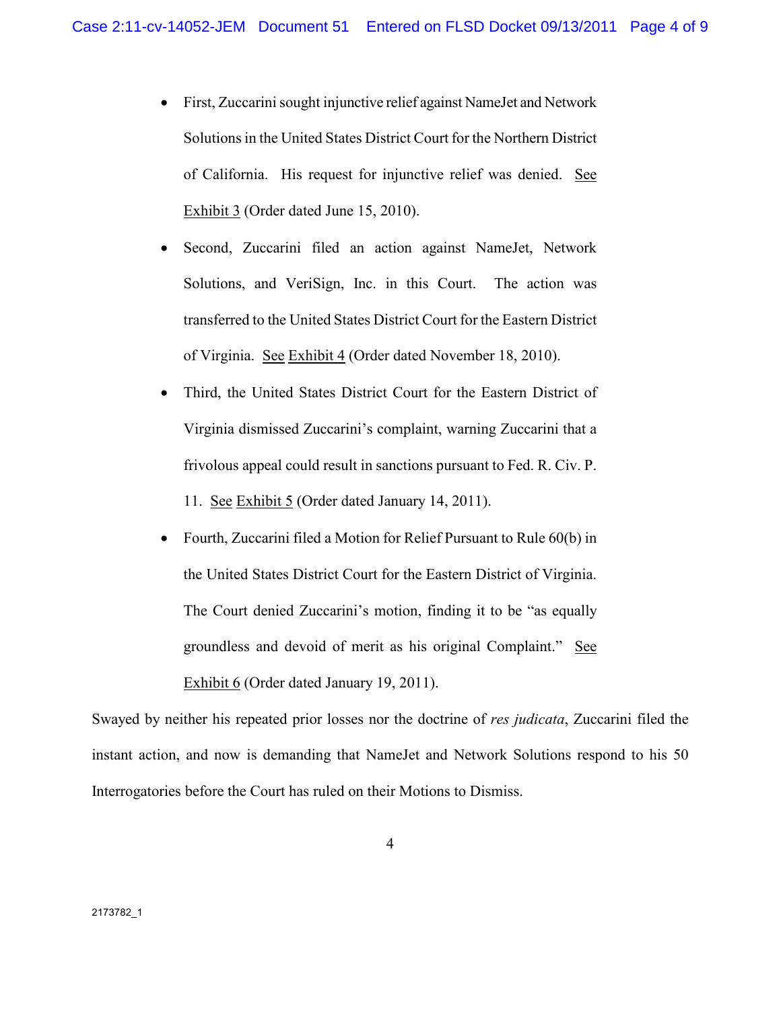- First, Zuccarini sought injunctive relief against NameJet and Network Solutions in the United States District Court for the Northern District of California. His request for injunctive relief was denied. See Exhibit 3 (Order dated June 15, 2010).
- Second, Zuccarini filed an action against NameJet, Network Solutions, and VeriSign, Inc. in this Court. The action was transferred to the United States District Court for the Eastern District of Virginia. See Exhibit 4 (Order dated November 18, 2010).
- Third, the United States District Court for the Eastern District of Virginia dismissed Zuccarini's complaint, warning Zuccarini that a frivolous appeal could result in sanctions pursuant to Fed. R. Civ. P. 11. See Exhibit 5 (Order dated January 14, 2011).
- Fourth, Zuccarini filed a Motion for Relief Pursuant to Rule 60(b) in the United States District Court for the Eastern District of Virginia. The Court denied Zuccarini's motion, finding it to be "as equally groundless and devoid of merit as his original Complaint." See Exhibit 6 (Order dated January 19, 2011).

Swayed by neither his repeated prior losses nor the doctrine of *res judicata*, Zuccarini filed the instant action, and now is demanding that NameJet and Network Solutions respond to his 50 Interrogatories before the Court has ruled on their Motions to Dismiss.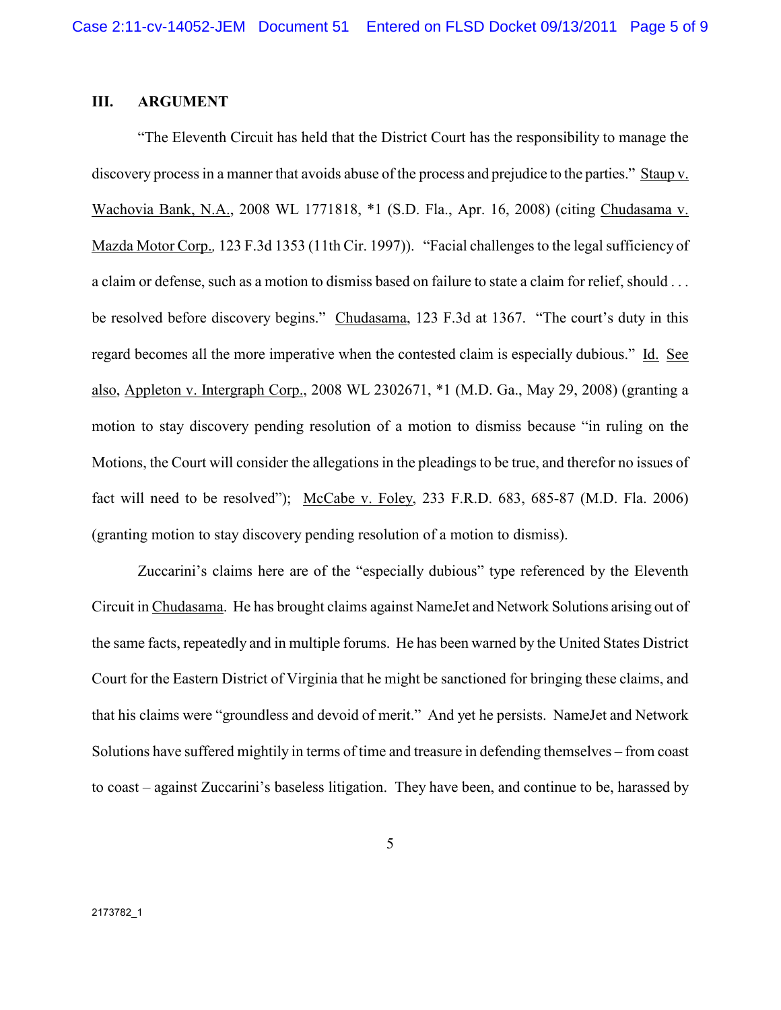## **III. ARGUMENT**

"The Eleventh Circuit has held that the District Court has the responsibility to manage the discovery process in a manner that avoids abuse of the process and prejudice to the parties." Staup v. Wachovia Bank, N.A., 2008 WL 1771818, \*1 (S.D. Fla., Apr. 16, 2008) (citing Chudasama v. Mazda Motor Corp.*,* 123 F.3d 1353 (11th Cir. 1997)). "Facial challenges to the legal sufficiency of a claim or defense, such as a motion to dismiss based on failure to state a claim for relief, should . . . be resolved before discovery begins." Chudasama, 123 F.3d at 1367. "The court's duty in this regard becomes all the more imperative when the contested claim is especially dubious." Id. See also, Appleton v. Intergraph Corp., 2008 WL 2302671, \*1 (M.D. Ga., May 29, 2008) (granting a motion to stay discovery pending resolution of a motion to dismiss because "in ruling on the Motions, the Court will consider the allegations in the pleadings to be true, and therefor no issues of fact will need to be resolved"); McCabe v. Foley, 233 F.R.D. 683, 685-87 (M.D. Fla. 2006) (granting motion to stay discovery pending resolution of a motion to dismiss).

Zuccarini's claims here are of the "especially dubious" type referenced by the Eleventh Circuit in Chudasama. He has brought claims against NameJet and Network Solutions arising out of the same facts, repeatedly and in multiple forums. He has been warned by the United States District Court for the Eastern District of Virginia that he might be sanctioned for bringing these claims, and that his claims were "groundless and devoid of merit." And yet he persists. NameJet and Network Solutions have suffered mightily in terms of time and treasure in defending themselves – from coast to coast – against Zuccarini's baseless litigation. They have been, and continue to be, harassed by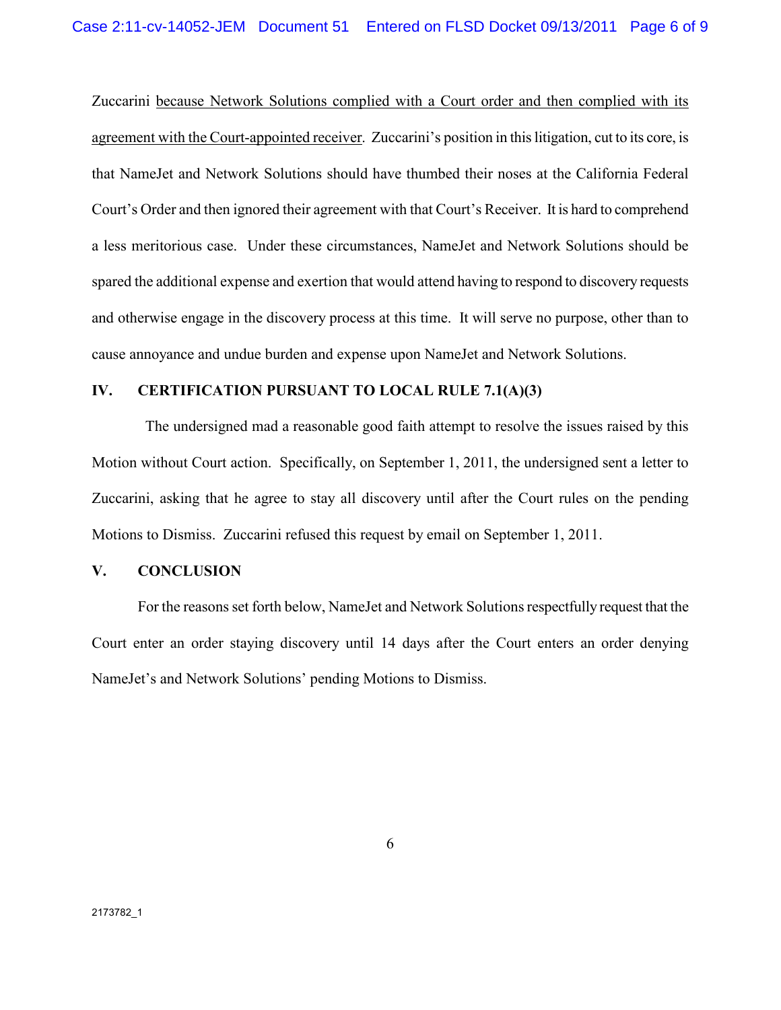Zuccarini because Network Solutions complied with a Court order and then complied with its agreement with the Court-appointed receiver. Zuccarini's position in this litigation, cut to its core, is that NameJet and Network Solutions should have thumbed their noses at the California Federal Court's Order and then ignored their agreement with that Court's Receiver. It is hard to comprehend a less meritorious case. Under these circumstances, NameJet and Network Solutions should be spared the additional expense and exertion that would attend having to respond to discovery requests and otherwise engage in the discovery process at this time. It will serve no purpose, other than to cause annoyance and undue burden and expense upon NameJet and Network Solutions.

#### **IV. CERTIFICATION PURSUANT TO LOCAL RULE 7.1(A)(3)**

 The undersigned mad a reasonable good faith attempt to resolve the issues raised by this Motion without Court action. Specifically, on September 1, 2011, the undersigned sent a letter to Zuccarini, asking that he agree to stay all discovery until after the Court rules on the pending Motions to Dismiss. Zuccarini refused this request by email on September 1, 2011.

### **V. CONCLUSION**

For the reasons set forth below, NameJet and Network Solutions respectfully request that the Court enter an order staying discovery until 14 days after the Court enters an order denying NameJet's and Network Solutions' pending Motions to Dismiss.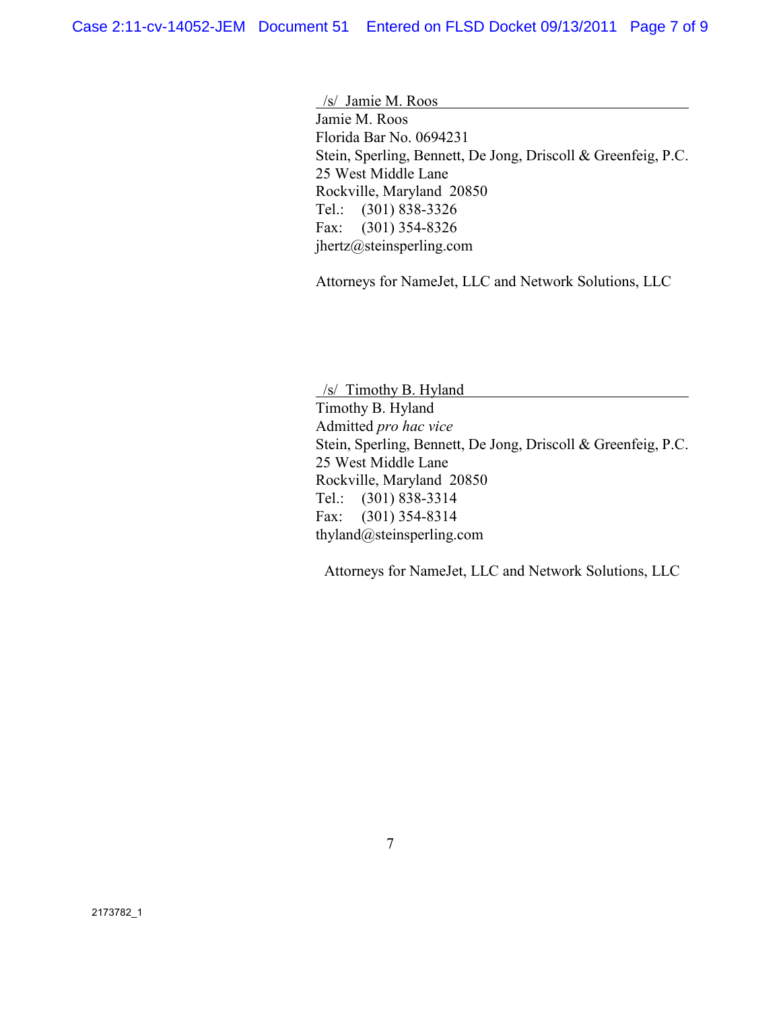/s/ Jamie M. Roos Jamie M. Roos Florida Bar No. 0694231 Stein, Sperling, Bennett, De Jong, Driscoll & Greenfeig, P.C. 25 West Middle Lane Rockville, Maryland 20850 Tel.: (301) 838-3326 Fax: (301) 354-8326 jhertz@steinsperling.com

Attorneys for NameJet, LLC and Network Solutions, LLC

 /s/ Timothy B. Hyland Timothy B. Hyland Admitted *pro hac vice* Stein, Sperling, Bennett, De Jong, Driscoll & Greenfeig, P.C. 25 West Middle Lane Rockville, Maryland 20850 Tel.: (301) 838-3314 Fax: (301) 354-8314 thyland@steinsperling.com

Attorneys for NameJet, LLC and Network Solutions, LLC

7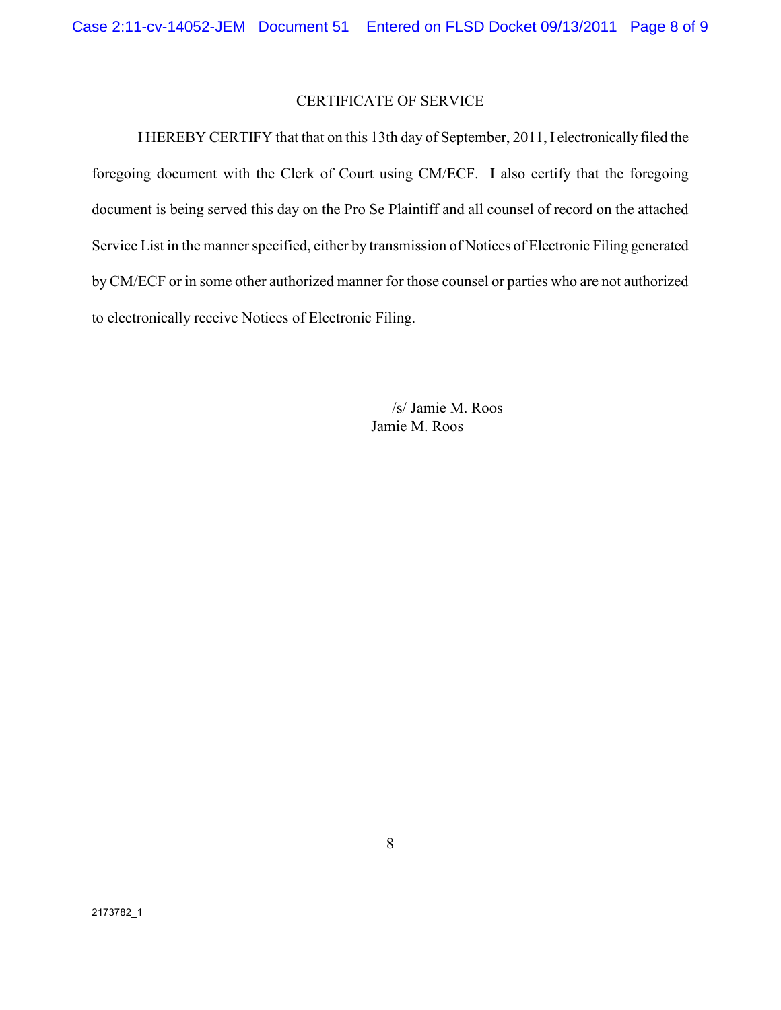### CERTIFICATE OF SERVICE

I HEREBY CERTIFY that that on this 13th day of September, 2011, I electronically filed the foregoing document with the Clerk of Court using CM/ECF. I also certify that the foregoing document is being served this day on the Pro Se Plaintiff and all counsel of record on the attached Service List in the manner specified, either by transmission of Notices of Electronic Filing generated by CM/ECF or in some other authorized manner for those counsel or parties who are not authorized to electronically receive Notices of Electronic Filing.

> /s/ Jamie M. Roos Jamie M. Roos